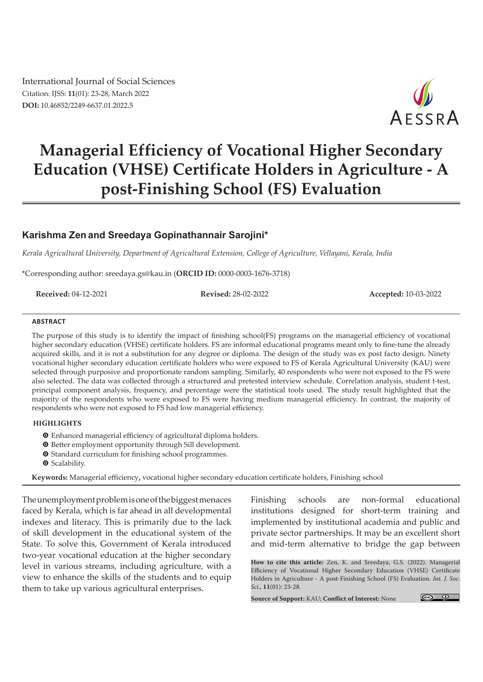International Journal of Social Sciences Citation: IJSS: **11**(01): 23-28, March 2022 **DOI:** 10.46852/2249-6637.01.2022.5



# **Managerial Efficiency of Vocational Higher Secondary Education (VHSE) Certificate Holders in Agriculture - A post-Finishing School (FS) Evaluation**

# **Karishma Zen and Sreedaya Gopinathannair Sarojini\***

*Kerala Agricultural University, Department of Agricultural Extension, College of Agriculture, Vellayani, Kerala, India*

\*Corresponding author: sreedaya.gs@kau.in (**ORCID ID:** 0000-0003-1676-3718)

**Received:** 04-12-2021 **Revised:** 28-02-2022 **Accepted:** 10-03-2022

#### **ABSTRACT**

The purpose of this study is to identify the impact of finishing school(FS) programs on the managerial efficiency of vocational higher secondary education (VHSE) certificate holders. FS are informal educational programs meant only to fine-tune the already acquired skills, and it is not a substitution for any degree or diploma. The design of the study was ex post facto design. Ninety vocational higher secondary education certificate holders who were exposed to FS of Kerala Agricultural University (KAU) were selected through purposive and proportionate random sampling. Similarly, 40 respondents who were not exposed to the FS were also selected. The data was collected through a structured and pretested interview schedule. Correlation analysis, student t-test, principal component analysis, frequency, and percentage were the statistical tools used. The study result highlighted that the majority of the respondents who were exposed to FS were having medium managerial efficiency. In contrast, the majority of respondents who were not exposed to FS had low managerial efficiency.

#### **HIGHLIGHTS**

- $\bullet$  Enhanced managerial efficiency of agricultural diploma holders.
- $\bullet$  Better employment opportunity through Sill development.
- $\odot$  Standard curriculum for finishing school programmes.
- **O** Scalability.

**Keywords:** Managerial efficiency**,** vocational higher secondary education certificate holders, Finishing school

The unemployment problem is one of the biggest menaces faced by Kerala, which is far ahead in all developmental indexes and literacy. This is primarily due to the lack of skill development in the educational system of the State. To solve this, Government of Kerala introduced two-year vocational education at the higher secondary level in various streams, including agriculture, with a view to enhance the skills of the students and to equip them to take up various agricultural enterprises.

Finishing schools are non-formal educational institutions designed for short-term training and implemented by institutional academia and public and private sector partnerships. It may be an excellent short and mid-term alternative to bridge the gap between

**How to cite this article:** Zen, K. and Sreedaya, G.S. (2022). Managerial Efficiency of Vocational Higher Secondary Education (VHSE) Certificate Holders in Agriculture - A post-Finishing School (FS) Evaluation. *Int. J. Soc. Sci.,* **11**(01): 23-28.

**Source of Support:** KAU; **Conflict of Interest:** None

 $\circ$   $\circ$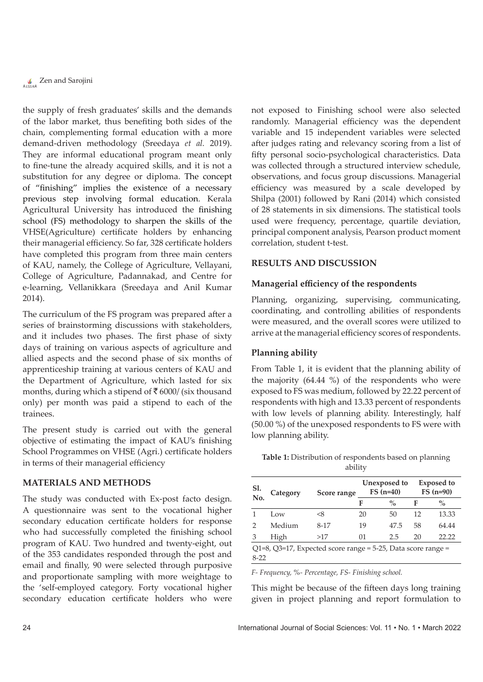**CENTERAL Zen and Sarojini** 

the supply of fresh graduates' skills and the demands of the labor market, thus benefiting both sides of the chain, complementing formal education with a more demand-driven methodology (Sreedaya *et al.* 2019). They are informal educational program meant only to fine-tune the already acquired skills, and it is not a substitution for any degree or diploma. The concept of "finishing" implies the existence of a necessary previous step involving formal education. Kerala Agricultural University has introduced the finishing school (FS) methodology to sharpen the skills of the VHSE(Agriculture) certificate holders by enhancing their managerial efficiency. So far, 328 certificate holders have completed this program from three main centers of KAU, namely, the College of Agriculture, Vellayani, College of Agriculture, Padannakad, and Centre for e-learning, Vellanikkara (Sreedaya and Anil Kumar 2014).

The curriculum of the FS program was prepared after a series of brainstorming discussions with stakeholders, and it includes two phases. The first phase of sixty days of training on various aspects of agriculture and allied aspects and the second phase of six months of apprenticeship training at various centers of KAU and the Department of Agriculture, which lasted for six months, during which a stipend of  $\bar{\bar{\epsilon}}$  6000/ (six thousand only) per month was paid a stipend to each of the trainees.

The present study is carried out with the general objective of estimating the impact of KAU's finishing School Programmes on VHSE (Agri.) certificate holders in terms of their managerial efficiency

#### **MATERIALS AND METHODS**

The study was conducted with Ex-post facto design. A questionnaire was sent to the vocational higher secondary education certificate holders for response who had successfully completed the finishing school program of KAU. Two hundred and twenty-eight, out of the 353 candidates responded through the post and email and finally, 90 were selected through purposive and proportionate sampling with more weightage to the 'self-employed category. Forty vocational higher secondary education certificate holders who were

not exposed to Finishing school were also selected randomly. Managerial efficiency was the dependent variable and 15 independent variables were selected after judges rating and relevancy scoring from a list of fifty personal socio-psychological characteristics. Data was collected through a structured interview schedule, observations, and focus group discussions. Managerial efficiency was measured by a scale developed by Shilpa (2001) followed by Rani (2014) which consisted of 28 statements in six dimensions. The statistical tools used were frequency, percentage, quartile deviation, principal component analysis, Pearson product moment correlation, student t-test.

## **RESULTS AND DISCUSSION**

#### **Managerial efficiency of the respondents**

Planning, organizing, supervising, communicating, coordinating, and controlling abilities of respondents were measured, and the overall scores were utilized to arrive at the managerial efficiency scores of respondents.

#### **Planning ability**

From Table 1, it is evident that the planning ability of the majority (64.44 %) of the respondents who were exposed to FS was medium, followed by 22.22 percent of respondents with high and 13.33 percent of respondents with low levels of planning ability. Interestingly, half (50.00 %) of the unexposed respondents to FS were with low planning ability.

**Table 1:** Distribution of respondents based on planning ability

| Sl.<br>No.                                                      | Category | Score range | Unexposed to<br>$FS(n=40)$ |      | <b>Exposed to</b><br>$FS(n=90)$ |       |
|-----------------------------------------------------------------|----------|-------------|----------------------------|------|---------------------------------|-------|
|                                                                 |          |             | F                          | $\%$ | F                               | $\%$  |
|                                                                 | Low      | <8          | 20                         | 50   | 12                              | 13.33 |
| $\mathcal{P}$                                                   | Medium   | $8 - 17$    | 19                         | 47.5 | 58                              | 64.44 |
| 3                                                               | High     | >17         | 01                         | 2.5  | 20                              | 22.22 |
| Q1=8, Q3=17, Expected score range = $5-25$ , Data score range = |          |             |                            |      |                                 |       |

8-22

*F- Frequency, %- Percentage, FS- Finishing school.*

This might be because of the fifteen days long training given in project planning and report formulation to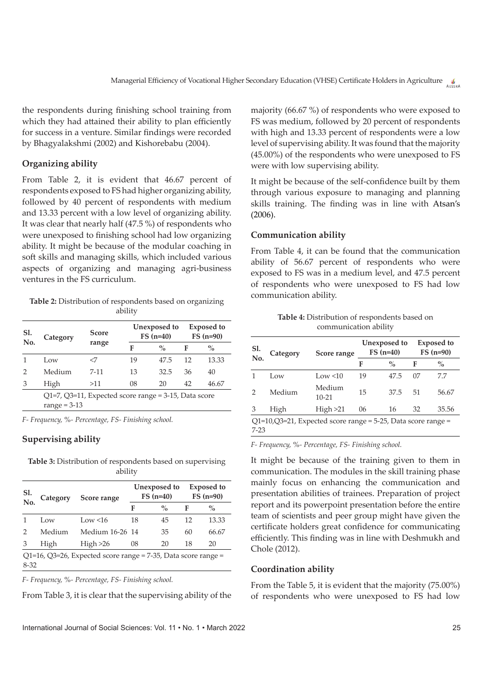the respondents during finishing school training from which they had attained their ability to plan efficiently for success in a venture. Similar findings were recorded by Bhagyalakshmi (2002) and Kishorebabu (2004).

## **Organizing ability**

From Table 2, it is evident that 46.67 percent of respondents exposed to FS had higher organizing ability, followed by 40 percent of respondents with medium and 13.33 percent with a low level of organizing ability. It was clear that nearly half (47.5 %) of respondents who were unexposed to finishing school had low organizing ability. It might be because of the modular coaching in soft skills and managing skills, which included various aspects of organizing and managing agri-business ventures in the FS curriculum.

**Table 2:** Distribution of respondents based on organizing ability

| Sl.<br>No. | Category                                                   | Score    |    | Unexposed to<br>$FS(n=40)$ |    | <b>Exposed</b> to<br>$FS(n=90)$ |  |
|------------|------------------------------------------------------------|----------|----|----------------------------|----|---------------------------------|--|
|            |                                                            | range    | F  | $\%$                       | F  | $\%$                            |  |
|            | Low                                                        |          | 19 | 47.5                       | 12 | 13.33                           |  |
| 2          | Medium                                                     | $7 - 11$ | 13 | 32.5                       | 36 | 40                              |  |
| 3          | High                                                       | >11      | 08 | 20                         | 42 | 46.67                           |  |
|            | $Q1=7$ , $Q3=11$ , Expected score range = 3-15, Data score |          |    |                            |    |                                 |  |
|            | $range = 3-13$                                             |          |    |                            |    |                                 |  |

*F- Frequency, %- Percentage, FS- Finishing school.*

## **Supervising ability**

**Table 3:** Distribution of respondents based on supervising ability

| Sl.<br>No.                                                                | Category | Score range     | Unexposed to<br>$FS(n=40)$ |               | <b>Exposed</b> to<br>$FS(n=90)$ |               |
|---------------------------------------------------------------------------|----------|-----------------|----------------------------|---------------|---------------------------------|---------------|
|                                                                           |          |                 | F                          | $\frac{0}{0}$ | F                               | $\frac{0}{0}$ |
|                                                                           | Low      | Low $\leq 16$   | 18                         | 45            | 12                              | 13.33         |
|                                                                           | Medium   | Medium 16-26 14 |                            | 35            | 60                              | 66.67         |
| 3                                                                         | High     | High > 26       | 08                         | 20            | 18                              | 20            |
| Q1=16, Q3=26, Expected score range = 7-35, Data score range =<br>$8 - 32$ |          |                 |                            |               |                                 |               |

*F- Frequency, %- Percentage, FS- Finishing school.*

From Table 3, it is clear that the supervising ability of the

majority (66.67 %) of respondents who were exposed to FS was medium, followed by 20 percent of respondents with high and 13.33 percent of respondents were a low level of supervising ability. It was found that the majority (45.00%) of the respondents who were unexposed to FS were with low supervising ability.

It might be because of the self-confidence built by them through various exposure to managing and planning skills training. The finding was in line with Atsan's (2006).

#### **Communication ability**

From Table 4, it can be found that the communication ability of 56.67 percent of respondents who were exposed to FS was in a medium level, and 47.5 percent of respondents who were unexposed to FS had low communication ability.

| Table 4: Distribution of respondents based on |  |
|-----------------------------------------------|--|
| communication ability                         |  |

| Sl.<br>No.                                                             | Category | Score range         | Unexposed to<br>$FS(n=40)$ |               | <b>Exposed</b> to<br>$FS(n=90)$ |       |
|------------------------------------------------------------------------|----------|---------------------|----------------------------|---------------|---------------------------------|-------|
|                                                                        |          |                     | F                          | $\frac{0}{0}$ | F                               | $\%$  |
|                                                                        | Low      | Low $\leq 10$       | 19                         | 47.5          | 07                              | 7.7   |
|                                                                        | Medium   | Medium<br>$10 - 21$ | 15                         | 37.5          | 51                              | 56.67 |
| З                                                                      | High     | High > 21           | 06                         | 16            | 32                              | 35.56 |
| Q1=10,Q3=21, Expected score range = 5-25, Data score range =<br>$7-23$ |          |                     |                            |               |                                 |       |

*F- Frequency, %- Percentage, FS- Finishing school.*

It might be because of the training given to them in communication. The modules in the skill training phase mainly focus on enhancing the communication and presentation abilities of trainees. Preparation of project report and its powerpoint presentation before the entire team of scientists and peer group might have given the certificate holders great confidence for communicating efficiently. This finding was in line with Deshmukh and Chole (2012).

#### **Coordination ability**

From the Table 5, it is evident that the majority (75.00%) of respondents who were unexposed to FS had low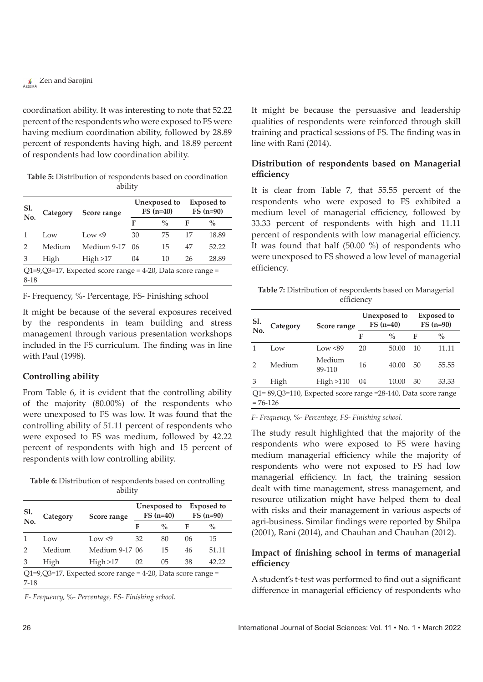**CENTERAL Zen and Sarojini** 

coordination ability. It was interesting to note that 52.22 percent of the respondents who were exposed to FS were having medium coordination ability, followed by 28.89 percent of respondents having high, and 18.89 percent of respondents had low coordination ability.

**Table 5:** Distribution of respondents based on coordination ability

| Sl.<br>No.                                                            | Category | Score range  | Unexposed to<br>$FS(n=40)$ |               | <b>Exposed</b> to<br>$FS(n=90)$ |       |
|-----------------------------------------------------------------------|----------|--------------|----------------------------|---------------|---------------------------------|-------|
|                                                                       |          |              | F                          | $\frac{0}{0}$ | F                               | $\%$  |
|                                                                       | Low      | Low $\leq$ 9 | 30                         | 75            | 17                              | 18.89 |
| っ                                                                     | Medium   | Medium 9-17  | 06                         | 15            | 47                              | 52.22 |
| 3                                                                     | High     | High >17     | 04                         | 10            | 26                              | 28.89 |
| Q1=9,Q3=17, Expected score range = 4-20, Data score range =<br>$8-18$ |          |              |                            |               |                                 |       |

F- Frequency, %- Percentage, FS- Finishing school

It might be because of the several exposures received by the respondents in team building and stress management through various presentation workshops included in the FS curriculum. The finding was in line with Paul (1998).

## **Controlling ability**

From Table 6, it is evident that the controlling ability of the majority (80.00%) of the respondents who were unexposed to FS was low. It was found that the controlling ability of 51.11 percent of respondents who were exposed to FS was medium, followed by 42.22 percent of respondents with high and 15 percent of respondents with low controlling ability.

**Table 6:** Distribution of respondents based on controlling ability

| Sl.<br>No.                                                            | Category | Score range    | Unexposed to<br>$FS(n=40)$ |                | <b>Exposed</b> to<br>$FS(n=90)$ |       |
|-----------------------------------------------------------------------|----------|----------------|----------------------------|----------------|---------------------------------|-------|
|                                                                       |          |                | F                          | $\frac{0}{0}$  | F                               | $\%$  |
|                                                                       | Low      | Low $\leq$ 9   | 32                         | 80             | 06                              | 15    |
| $\mathcal{P}$                                                         | Medium   | Medium 9-17 06 |                            | 15             | 46                              | 51.11 |
| 3                                                                     | High     | High >17       | 02                         | 0 <sub>5</sub> | 38                              | 42.22 |
| Q1=9,Q3=17, Expected score range = 4-20, Data score range =<br>$7-18$ |          |                |                            |                |                                 |       |

 *F- Frequency, %- Percentage, FS- Finishing school.*

It might be because the persuasive and leadership qualities of respondents were reinforced through skill training and practical sessions of FS. The finding was in line with Rani (2014).

## **Distribution of respondents based on Managerial efficiency**

It is clear from Table 7, that 55.55 percent of the respondents who were exposed to FS exhibited a medium level of managerial efficiency, followed by 33.33 percent of respondents with high and 11.11 percent of respondents with low managerial efficiency. It was found that half (50.00 %) of respondents who were unexposed to FS showed a low level of managerial efficiency.

**Table 7:** Distribution of respondents based on Managerial efficiency

| Sl.<br>No.                                                                   | Category | Score range      | Unexposed to<br>$FS(n=40)$ |               | <b>Exposed</b> to<br>$FS(n=90)$ |       |
|------------------------------------------------------------------------------|----------|------------------|----------------------------|---------------|---------------------------------|-------|
|                                                                              |          |                  | F                          | $\frac{0}{0}$ | F                               | $\%$  |
|                                                                              | Low      | Low $\leq$ 89    | 20                         | 50.00         | 10                              | 11.11 |
| 2                                                                            | Medium   | Medium<br>89-110 | 16                         | 40.00         | 50                              | 55.55 |
| 3                                                                            | High     | High > 110       | 04                         | 10.00         | 30                              | 33.33 |
| Q1=89,Q3=110, Expected score range =28-140, Data score range<br>$= 76 - 126$ |          |                  |                            |               |                                 |       |

*F- Frequency, %- Percentage, FS- Finishing school.*

The study result highlighted that the majority of the respondents who were exposed to FS were having medium managerial efficiency while the majority of respondents who were not exposed to FS had low managerial efficiency. In fact, the training session dealt with time management, stress management, and resource utilization might have helped them to deal with risks and their management in various aspects of agri-business. Similar findings were reported by **S**hilpa (2001), Rani (2014), and Chauhan and Chauhan (2012).

## **Impact of finishing school in terms of managerial efficiency**

A student's t-test was performed to find out a significant difference in managerial efficiency of respondents who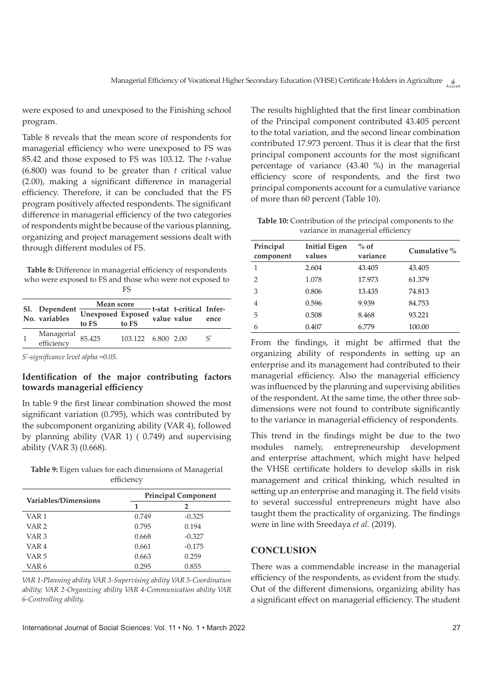were exposed to and unexposed to the Finishing school program.

Table 8 reveals that the mean score of respondents for managerial efficiency who were unexposed to FS was 85.42 and those exposed to FS was 103.12. The *t*-value (6.800) was found to be greater than *t* critical value (2.00), making a significant difference in managerial efficiency. Therefore, it can be concluded that the FS program positively affected respondents. The significant difference in managerial efficiency of the two categories of respondents might be because of the various planning, organizing and project management sessions dealt with through different modules of FS.

**Table 8:** Difference in managerial efficiency of respondents who were exposed to FS and those who were not exposed to FS

|  | Sl. Dependent Unexposed Exposed<br>No. variables | Mean score |                             |                                          |       |
|--|--------------------------------------------------|------------|-----------------------------|------------------------------------------|-------|
|  |                                                  | to FS      | $\overline{\text{to } }$ FS | -t-stat t-critical Infer-<br>value value | ence  |
|  | Managerial<br>efficiency                         | 85.425     | 103.122 6.800 2.00          |                                          | $S^*$ |

*S\* -significance level alpha =0.05.*

## **Identification of the major contributing factors towards managerial efficiency**

In table 9 the first linear combination showed the most significant variation (0.795), which was contributed by the subcomponent organizing ability (VAR 4), followed by planning ability (VAR 1) ( 0.749) and supervising ability (VAR 3) (0.668).

**Table 9:** Eigen values for each dimensions of Managerial efficiency

| Variables/Dimensions | <b>Principal Component</b> |          |  |
|----------------------|----------------------------|----------|--|
|                      | 1                          | 2        |  |
| VAR 1                | 0.749                      | $-0.325$ |  |
| VAR 2                | 0.795                      | 0.194    |  |
| VAR <sub>3</sub>     | 0.668                      | $-0.327$ |  |
| VAR 4                | 0.661                      | $-0.175$ |  |
| VAR 5                | 0.663                      | 0.259    |  |
| VAR 6                | 0.295                      | 0.855    |  |

*VAR 1-Planning ability VAR 3-Supervising ability VAR 5-Coordination ability; VAR 2-Organizing ability VAR 4-Communication ability VAR 6-Controlling ability.*

The results highlighted that the first linear combination of the Principal component contributed 43.405 percent to the total variation, and the second linear combination contributed 17.973 percent. Thus it is clear that the first principal component accounts for the most significant percentage of variance (43.40 %) in the managerial efficiency score of respondents, and the first two principal components account for a cumulative variance of more than 60 percent (Table 10).

**Table 10:** Contribution of the principal components to the variance in managerial efficiency

| Principal<br>component | <b>Initial Eigen</b><br>values | $%$ of<br>variance | Cumulative $\%$ |
|------------------------|--------------------------------|--------------------|-----------------|
| 1                      | 2.604                          | 43.405             | 43.405          |
| $\mathcal{P}$          | 1.078                          | 17.973             | 61.379          |
| 3                      | 0.806                          | 13.435             | 74.813          |
| 4                      | 0.596                          | 9.939              | 84.753          |
| 5                      | 0.508                          | 8.468              | 93.221          |
| 6                      | 0.407                          | 6.779              | 100.00          |

From the findings, it might be affirmed that the organizing ability of respondents in setting up an enterprise and its management had contributed to their managerial efficiency. Also the managerial efficiency was influenced by the planning and supervising abilities of the respondent. At the same time, the other three subdimensions were not found to contribute significantly to the variance in managerial efficiency of respondents.

This trend in the findings might be due to the two modules namely, entrepreneurship development and enterprise attachment, which might have helped the VHSE certificate holders to develop skills in risk management and critical thinking, which resulted in setting up an enterprise and managing it. The field visits to several successful entrepreneurs might have also taught them the practicality of organizing. The findings were in line with Sreedaya *et al.* (2019).

#### **CONCLUSION**

There was a commendable increase in the managerial efficiency of the respondents, as evident from the study. Out of the different dimensions, organizing ability has a significant effect on managerial efficiency. The student